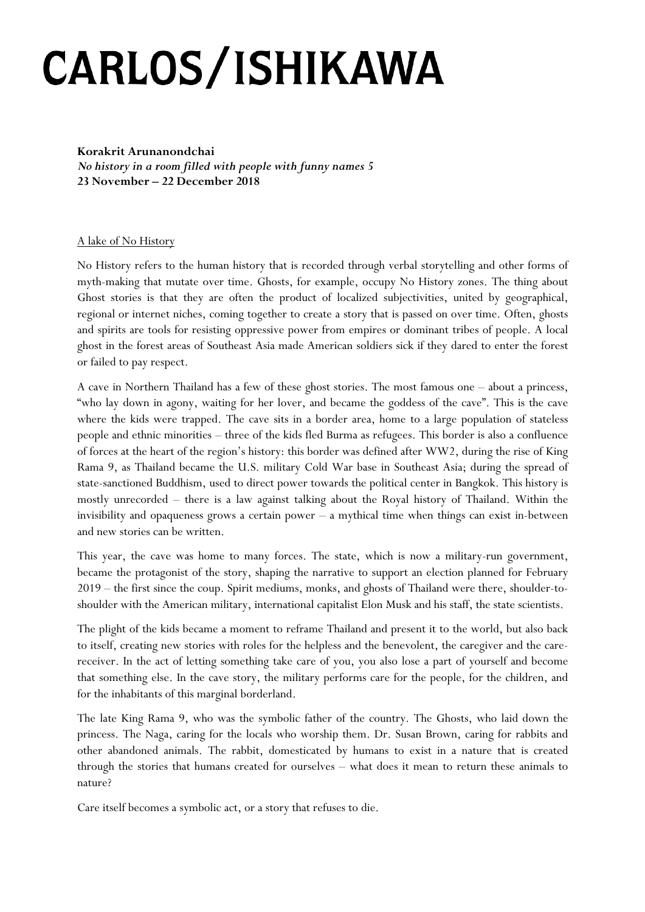## **CARLOS/ISHIKAWA**

**Korakrit Arunanondchai** *No history in a room filled with people with funny names 5* **23 November – 22 December 2018**

## A lake of No History

No History refers to the human history that is recorded through verbal storytelling and other forms of myth-making that mutate over time. Ghosts, for example, occupy No History zones. The thing about Ghost stories is that they are often the product of localized subjectivities, united by geographical, regional or internet niches, coming together to create a story that is passed on over time. Often, ghosts and spirits are tools for resisting oppressive power from empires or dominant tribes of people. A local ghost in the forest areas of Southeast Asia made American soldiers sick if they dared to enter the forest or failed to pay respect.

A cave in Northern Thailand has a few of these ghost stories. The most famous one – about a princess, "who lay down in agony, waiting for her lover, and became the goddess of the cave". This is the cave where the kids were trapped. The cave sits in a border area, home to a large population of stateless people and ethnic minorities – three of the kids fled Burma as refugees. This border is also a confluence of forces at the heart of the region's history: this border was defined after WW2, during the rise of King Rama 9, as Thailand became the U.S. military Cold War base in Southeast Asia; during the spread of state-sanctioned Buddhism, used to direct power towards the political center in Bangkok. This history is mostly unrecorded – there is a law against talking about the Royal history of Thailand. Within the invisibility and opaqueness grows a certain power – a mythical time when things can exist in-between and new stories can be written.

This year, the cave was home to many forces. The state, which is now a military-run government, became the protagonist of the story, shaping the narrative to support an election planned for February 2019 – the first since the coup. Spirit mediums, monks, and ghosts of Thailand were there, shoulder-toshoulder with the American military, international capitalist Elon Musk and his staff, the state scientists.

The plight of the kids became a moment to reframe Thailand and present it to the world, but also back to itself, creating new stories with roles for the helpless and the benevolent, the caregiver and the carereceiver. In the act of letting something take care of you, you also lose a part of yourself and become that something else. In the cave story, the military performs care for the people, for the children, and for the inhabitants of this marginal borderland.

The late King Rama 9, who was the symbolic father of the country. The Ghosts, who laid down the princess. The Naga, caring for the locals who worship them. Dr. Susan Brown, caring for rabbits and other abandoned animals. The rabbit, domesticated by humans to exist in a nature that is created through the stories that humans created for ourselves – what does it mean to return these animals to nature?

Care itself becomes a symbolic act, or a story that refuses to die.